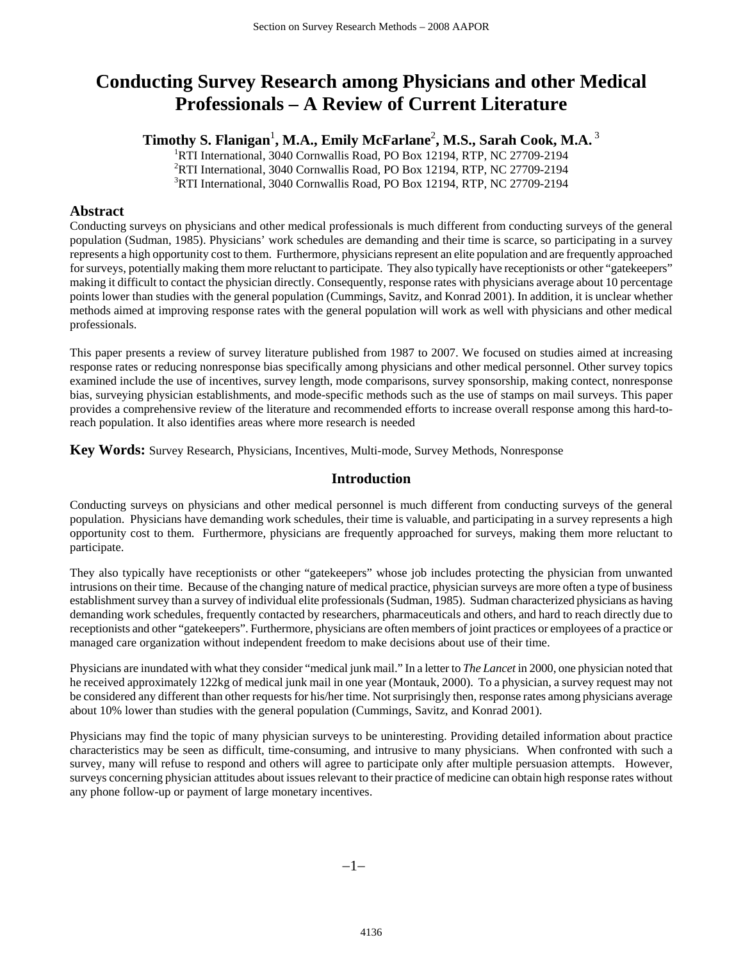# **Conducting Survey Research among Physicians and other Medical Professionals – A Review of Current Literature**

# $\mathbf{Timothy\ S.\ Flanigan^1,\ M.A., Emily McFarlane^2,\ M.S., Sarah Cook, M.A.^3}$

<sup>1</sup>RTI International, 3040 Cornwallis Road, PO Box 12194, RTP, NC 27709-2194 2 RTI International, 3040 Cornwallis Road, PO Box 12194, RTP, NC 27709-2194 3 RTI International, 3040 Cornwallis Road, PO Box 12194, RTP, NC 27709-2194

# **Abstract**

Conducting surveys on physicians and other medical professionals is much different from conducting surveys of the general population (Sudman, 1985). Physicians' work schedules are demanding and their time is scarce, so participating in a survey represents a high opportunity cost to them. Furthermore, physicians represent an elite population and are frequently approached for surveys, potentially making them more reluctant to participate. They also typically have receptionists or other "gatekeepers" making it difficult to contact the physician directly. Consequently, response rates with physicians average about 10 percentage points lower than studies with the general population (Cummings, Savitz, and Konrad 2001). In addition, it is unclear whether methods aimed at improving response rates with the general population will work as well with physicians and other medical professionals.

This paper presents a review of survey literature published from 1987 to 2007. We focused on studies aimed at increasing response rates or reducing nonresponse bias specifically among physicians and other medical personnel. Other survey topics examined include the use of incentives, survey length, mode comparisons, survey sponsorship, making contect, nonresponse bias, surveying physician establishments, and mode-specific methods such as the use of stamps on mail surveys. This paper provides a comprehensive review of the literature and recommended efforts to increase overall response among this hard-toreach population. It also identifies areas where more research is needed

**Key Words:** Survey Research, Physicians, Incentives, Multi-mode, Survey Methods, Nonresponse

# **Introduction**

Conducting surveys on physicians and other medical personnel is much different from conducting surveys of the general population. Physicians have demanding work schedules, their time is valuable, and participating in a survey represents a high opportunity cost to them. Furthermore, physicians are frequently approached for surveys, making them more reluctant to participate.

They also typically have receptionists or other "gatekeepers" whose job includes protecting the physician from unwanted intrusions on their time. Because of the changing nature of medical practice, physician surveys are more often a type of business establishment survey than a survey of individual elite professionals (Sudman, 1985). Sudman characterized physicians as having demanding work schedules, frequently contacted by researchers, pharmaceuticals and others, and hard to reach directly due to receptionists and other "gatekeepers". Furthermore, physicians are often members of joint practices or employees of a practice or managed care organization without independent freedom to make decisions about use of their time.

Physicians are inundated with what they consider "medical junk mail." In a letter to *The Lancet* in 2000, one physician noted that he received approximately 122kg of medical junk mail in one year (Montauk, 2000). To a physician, a survey request may not be considered any different than other requests for his/her time. Not surprisingly then, response rates among physicians average about 10% lower than studies with the general population (Cummings, Savitz, and Konrad 2001).

Physicians may find the topic of many physician surveys to be uninteresting. Providing detailed information about practice characteristics may be seen as difficult, time-consuming, and intrusive to many physicians. When confronted with such a survey, many will refuse to respond and others will agree to participate only after multiple persuasion attempts. However, surveys concerning physician attitudes about issues relevant to their practice of medicine can obtain high response rates without any phone follow-up or payment of large monetary incentives.

−1−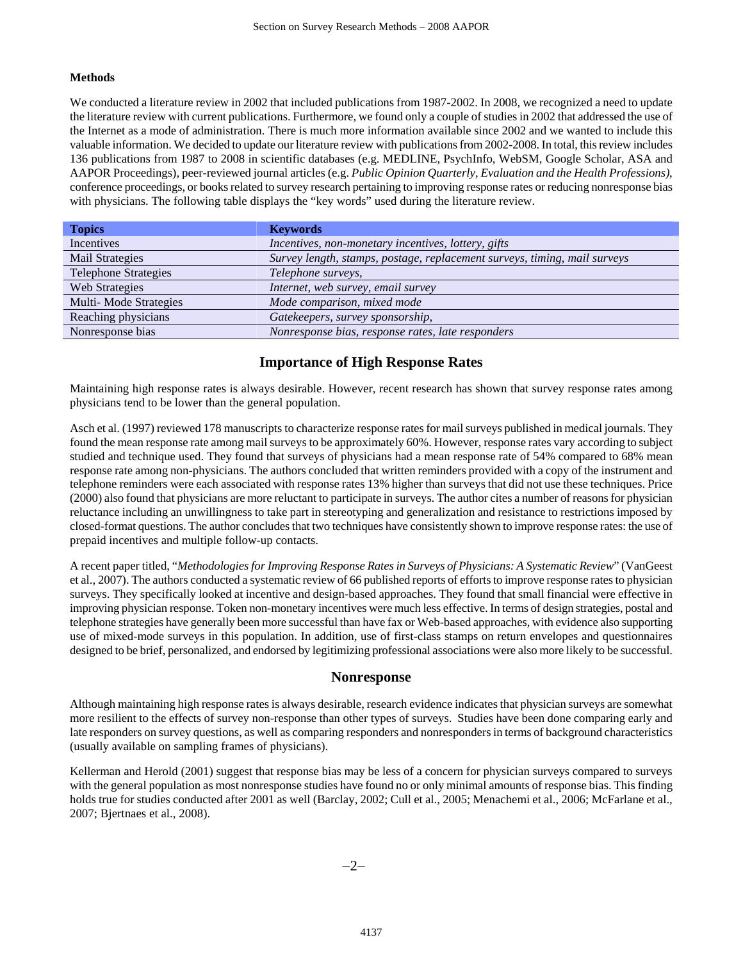#### **Methods**

We conducted a literature review in 2002 that included publications from 1987-2002. In 2008, we recognized a need to update the literature review with current publications. Furthermore, we found only a couple of studies in 2002 that addressed the use of the Internet as a mode of administration. There is much more information available since 2002 and we wanted to include this valuable information. We decided to update our literature review with publications from 2002-2008. In total, this review includes 136 publications from 1987 to 2008 in scientific databases (e.g. MEDLINE, PsychInfo, WebSM, Google Scholar, ASA and AAPOR Proceedings), peer-reviewed journal articles (e.g. *Public Opinion Quarterly, Evaluation and the Health Professions)*, conference proceedings, or books related to survey research pertaining to improving response rates or reducing nonresponse bias with physicians. The following table displays the "key words" used during the literature review.

| <b>Topics</b>               | <b>Keywords</b>                                                           |
|-----------------------------|---------------------------------------------------------------------------|
| Incentives                  | Incentives, non-monetary incentives, lottery, gifts                       |
| Mail Strategies             | Survey length, stamps, postage, replacement surveys, timing, mail surveys |
| <b>Telephone Strategies</b> | Telephone surveys,                                                        |
| Web Strategies              | Internet, web survey, email survey                                        |
| Multi-Mode Strategies       | Mode comparison, mixed mode                                               |
| Reaching physicians         | Gatekeepers, survey sponsorship,                                          |
| Nonresponse bias            | Nonresponse bias, response rates, late responders                         |

# **Importance of High Response Rates**

Maintaining high response rates is always desirable. However, recent research has shown that survey response rates among physicians tend to be lower than the general population.

Asch et al. (1997) reviewed 178 manuscripts to characterize response rates for mail surveys published in medical journals. They found the mean response rate among mail surveys to be approximately 60%. However, response rates vary according to subject studied and technique used. They found that surveys of physicians had a mean response rate of 54% compared to 68% mean response rate among non-physicians. The authors concluded that written reminders provided with a copy of the instrument and telephone reminders were each associated with response rates 13% higher than surveys that did not use these techniques. Price (2000) also found that physicians are more reluctant to participate in surveys. The author cites a number of reasons for physician reluctance including an unwillingness to take part in stereotyping and generalization and resistance to restrictions imposed by closed-format questions. The author concludes that two techniques have consistently shown to improve response rates: the use of prepaid incentives and multiple follow-up contacts.

A recent paper titled, "*Methodologies for Improving Response Rates in Surveys of Physicians: A Systematic Review*" (VanGeest et al., 2007). The authors conducted a systematic review of 66 published reports of efforts to improve response rates to physician surveys. They specifically looked at incentive and design-based approaches. They found that small financial were effective in improving physician response. Token non-monetary incentives were much less effective. In terms of design strategies, postal and telephone strategies have generally been more successful than have fax or Web-based approaches, with evidence also supporting use of mixed-mode surveys in this population. In addition, use of first-class stamps on return envelopes and questionnaires designed to be brief, personalized, and endorsed by legitimizing professional associations were also more likely to be successful.

### **Nonresponse**

Although maintaining high response rates is always desirable, research evidence indicates that physician surveys are somewhat more resilient to the effects of survey non-response than other types of surveys. Studies have been done comparing early and late responders on survey questions, as well as comparing responders and nonresponders in terms of background characteristics (usually available on sampling frames of physicians).

Kellerman and Herold (2001) suggest that response bias may be less of a concern for physician surveys compared to surveys with the general population as most nonresponse studies have found no or only minimal amounts of response bias. This finding holds true for studies conducted after 2001 as well (Barclay, 2002; Cull et al., 2005; Menachemi et al., 2006; McFarlane et al., 2007; Bjertnaes et al., 2008).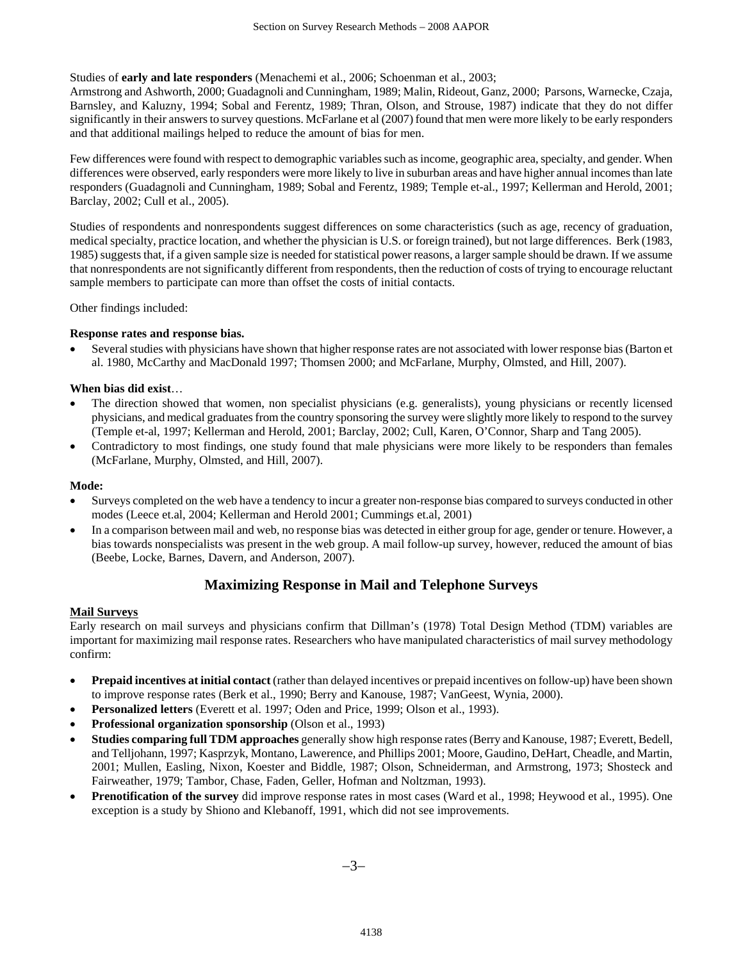Studies of **early and late responders** (Menachemi et al., 2006; Schoenman et al., 2003;

Armstrong and Ashworth, 2000; Guadagnoli and Cunningham, 1989; Malin, Rideout, Ganz, 2000; Parsons, Warnecke, Czaja, Barnsley, and Kaluzny, 1994; Sobal and Ferentz, 1989; Thran, Olson, and Strouse, 1987) indicate that they do not differ significantly in their answers to survey questions. McFarlane et al (2007) found that men were more likely to be early responders and that additional mailings helped to reduce the amount of bias for men.

Few differences were found with respect to demographic variables such as income, geographic area, specialty, and gender. When differences were observed, early responders were more likely to live in suburban areas and have higher annual incomes than late responders (Guadagnoli and Cunningham, 1989; Sobal and Ferentz, 1989; Temple et-al., 1997; Kellerman and Herold, 2001; Barclay, 2002; Cull et al., 2005).

Studies of respondents and nonrespondents suggest differences on some characteristics (such as age, recency of graduation, medical specialty, practice location, and whether the physician is U.S. or foreign trained), but not large differences. Berk (1983, 1985) suggests that, if a given sample size is needed for statistical power reasons, a larger sample should be drawn. If we assume that nonrespondents are not significantly different from respondents, then the reduction of costs of trying to encourage reluctant sample members to participate can more than offset the costs of initial contacts.

Other findings included:

### **Response rates and response bias.**

• Several studies with physicians have shown that higher response rates are not associated with lower response bias (Barton et al. 1980, McCarthy and MacDonald 1997; Thomsen 2000; and McFarlane, Murphy, Olmsted, and Hill, 2007).

#### **When bias did exist**…

- The direction showed that women, non specialist physicians (e.g. generalists), young physicians or recently licensed physicians, and medical graduates from the country sponsoring the survey were slightly more likely to respond to the survey (Temple et-al, 1997; Kellerman and Herold, 2001; Barclay, 2002; Cull, Karen, O'Connor, Sharp and Tang 2005).
- Contradictory to most findings, one study found that male physicians were more likely to be responders than females (McFarlane, Murphy, Olmsted, and Hill, 2007).

#### **Mode:**

- Surveys completed on the web have a tendency to incur a greater non-response bias compared to surveys conducted in other modes (Leece et.al, 2004; Kellerman and Herold 2001; Cummings et.al, 2001)
- In a comparison between mail and web, no response bias was detected in either group for age, gender or tenure. However, a bias towards nonspecialists was present in the web group. A mail follow-up survey, however, reduced the amount of bias (Beebe, Locke, Barnes, Davern, and Anderson, 2007).

# **Maximizing Response in Mail and Telephone Surveys**

### **Mail Surveys**

Early research on mail surveys and physicians confirm that Dillman's (1978) Total Design Method (TDM) variables are important for maximizing mail response rates. Researchers who have manipulated characteristics of mail survey methodology confirm:

- **Prepaid incentives at initial contact** (rather than delayed incentives or prepaid incentives on follow-up) have been shown to improve response rates (Berk et al., 1990; Berry and Kanouse, 1987; VanGeest, Wynia, 2000).
- **Personalized letters** (Everett et al. 1997; Oden and Price, 1999; Olson et al., 1993).
- **Professional organization sponsorship** (Olson et al., 1993)
- **Studies comparing full TDM approaches** generally show high response rates (Berry and Kanouse, 1987; Everett, Bedell, and Telljohann, 1997; Kasprzyk, Montano, Lawerence, and Phillips 2001; Moore, Gaudino, DeHart, Cheadle, and Martin, 2001; Mullen, Easling, Nixon, Koester and Biddle, 1987; Olson, Schneiderman, and Armstrong, 1973; Shosteck and Fairweather, 1979; Tambor, Chase, Faden, Geller, Hofman and Noltzman, 1993).
- **Prenotification of the survey** did improve response rates in most cases (Ward et al., 1998; Heywood et al., 1995). One exception is a study by Shiono and Klebanoff, 1991, which did not see improvements.

−3−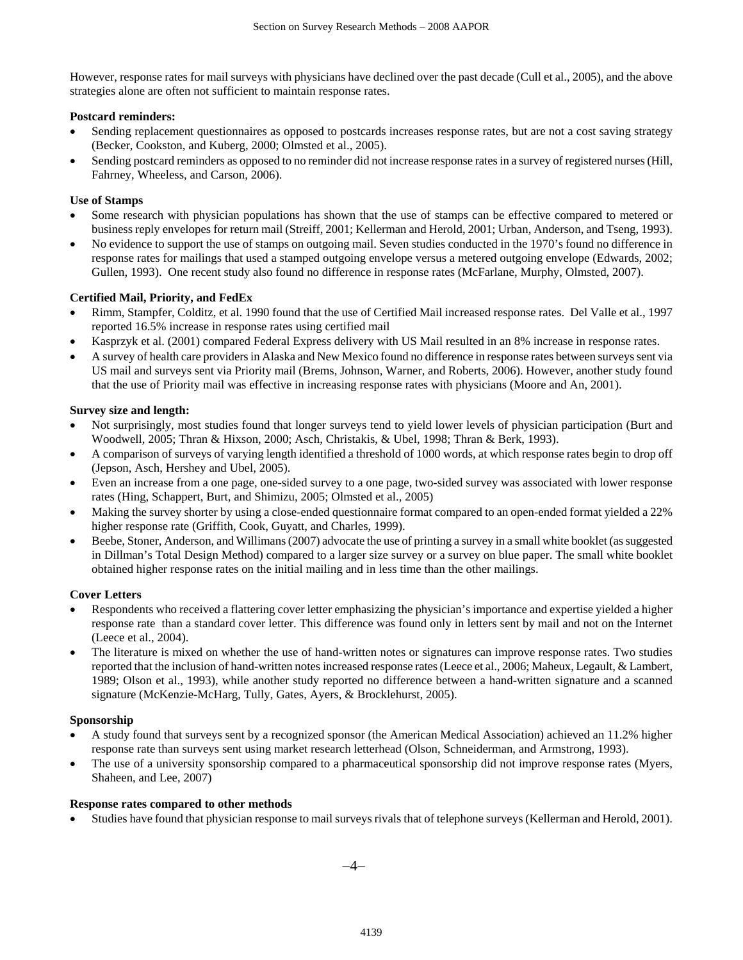However, response rates for mail surveys with physicians have declined over the past decade (Cull et al., 2005), and the above strategies alone are often not sufficient to maintain response rates.

### **Postcard reminders:**

- Sending replacement questionnaires as opposed to postcards increases response rates, but are not a cost saving strategy (Becker, Cookston, and Kuberg, 2000; Olmsted et al., 2005).
- Sending postcard reminders as opposed to no reminder did not increase response rates in a survey of registered nurses (Hill, Fahrney, Wheeless, and Carson, 2006).

# **Use of Stamps**

- Some research with physician populations has shown that the use of stamps can be effective compared to metered or business reply envelopes for return mail (Streiff, 2001; Kellerman and Herold, 2001; Urban, Anderson, and Tseng, 1993).
- No evidence to support the use of stamps on outgoing mail. Seven studies conducted in the 1970's found no difference in response rates for mailings that used a stamped outgoing envelope versus a metered outgoing envelope (Edwards, 2002; Gullen, 1993). One recent study also found no difference in response rates (McFarlane, Murphy, Olmsted, 2007).

# **Certified Mail, Priority, and FedEx**

- Rimm, Stampfer, Colditz, et al. 1990 found that the use of Certified Mail increased response rates. Del Valle et al., 1997 reported 16.5% increase in response rates using certified mail
- Kasprzyk et al. (2001) compared Federal Express delivery with US Mail resulted in an 8% increase in response rates.
- A survey of health care providers in Alaska and New Mexico found no difference in response rates between surveys sent via US mail and surveys sent via Priority mail (Brems, Johnson, Warner, and Roberts, 2006). However, another study found that the use of Priority mail was effective in increasing response rates with physicians (Moore and An, 2001).

# **Survey size and length:**

- Not surprisingly, most studies found that longer surveys tend to yield lower levels of physician participation (Burt and Woodwell, 2005; Thran & Hixson, 2000; Asch, Christakis, & Ubel, 1998; Thran & Berk, 1993).
- A comparison of surveys of varying length identified a threshold of 1000 words, at which response rates begin to drop off (Jepson, Asch, Hershey and Ubel, 2005).
- Even an increase from a one page, one-sided survey to a one page, two-sided survey was associated with lower response rates (Hing, Schappert, Burt, and Shimizu, 2005; Olmsted et al., 2005)
- Making the survey shorter by using a close-ended questionnaire format compared to an open-ended format yielded a 22% higher response rate (Griffith, Cook, Guyatt, and Charles, 1999).
- Beebe, Stoner, Anderson, and Willimans (2007) advocate the use of printing a survey in a small white booklet (as suggested in Dillman's Total Design Method) compared to a larger size survey or a survey on blue paper. The small white booklet obtained higher response rates on the initial mailing and in less time than the other mailings.

### **Cover Letters**

- Respondents who received a flattering cover letter emphasizing the physician's importance and expertise yielded a higher response rate than a standard cover letter. This difference was found only in letters sent by mail and not on the Internet (Leece et al., 2004).
- The literature is mixed on whether the use of hand-written notes or signatures can improve response rates. Two studies reported that the inclusion of hand-written notes increased response rates (Leece et al., 2006; Maheux, Legault, & Lambert, 1989; Olson et al., 1993), while another study reported no difference between a hand-written signature and a scanned signature (McKenzie-McHarg, Tully, Gates, Ayers, & Brocklehurst, 2005).

### **Sponsorship**

- A study found that surveys sent by a recognized sponsor (the American Medical Association) achieved an 11.2% higher response rate than surveys sent using market research letterhead (Olson, Schneiderman, and Armstrong, 1993).
- The use of a university sponsorship compared to a pharmaceutical sponsorship did not improve response rates (Myers, Shaheen, and Lee, 2007)

### **Response rates compared to other methods**

• Studies have found that physician response to mail surveys rivals that of telephone surveys (Kellerman and Herold, 2001).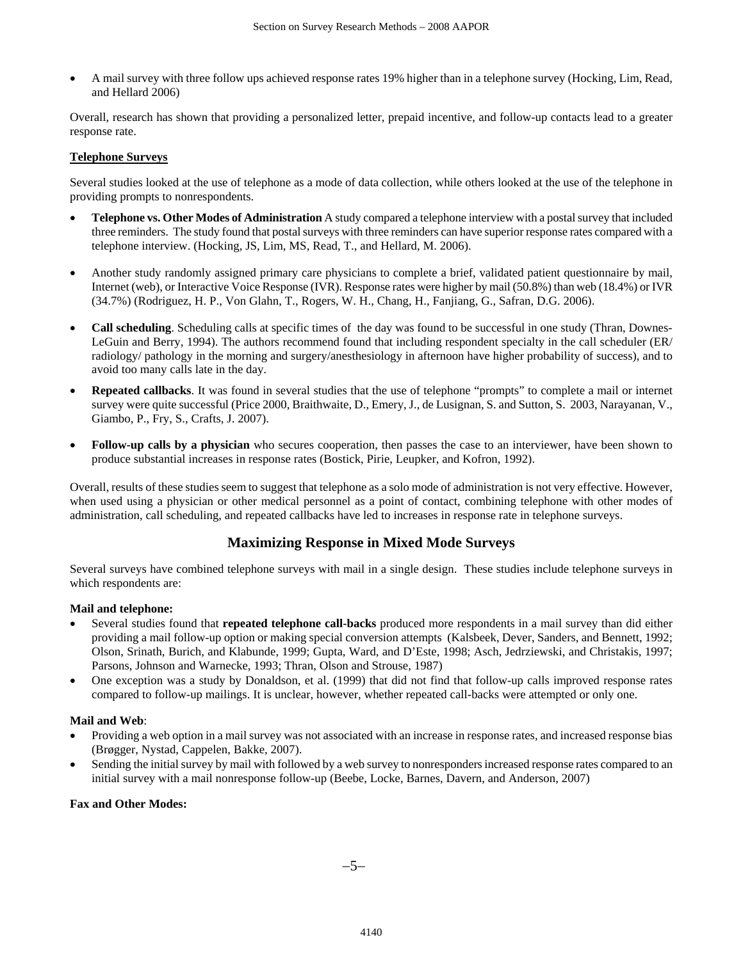• A mail survey with three follow ups achieved response rates 19% higher than in a telephone survey (Hocking, Lim, Read, and Hellard 2006)

Overall, research has shown that providing a personalized letter, prepaid incentive, and follow-up contacts lead to a greater response rate.

# **Telephone Surveys**

Several studies looked at the use of telephone as a mode of data collection, while others looked at the use of the telephone in providing prompts to nonrespondents.

- **Telephone vs. Other Modes of Administration** A study compared a telephone interview with a postal survey that included three reminders. The study found that postal surveys with three reminders can have superior response rates compared with a telephone interview. (Hocking, JS, Lim, MS, Read, T., and Hellard, M. 2006).
- Another study randomly assigned primary care physicians to complete a brief, validated patient questionnaire by mail, Internet (web), or Interactive Voice Response (IVR). Response rates were higher by mail (50.8%) than web (18.4%) or IVR (34.7%) (Rodriguez, H. P., Von Glahn, T., Rogers, W. H., Chang, H., Fanjiang, G., Safran, D.G. 2006).
- **Call scheduling**. Scheduling calls at specific times of the day was found to be successful in one study (Thran, Downes-LeGuin and Berry, 1994). The authors recommend found that including respondent specialty in the call scheduler (ER/ radiology/ pathology in the morning and surgery/anesthesiology in afternoon have higher probability of success), and to avoid too many calls late in the day.
- **Repeated callbacks**. It was found in several studies that the use of telephone "prompts" to complete a mail or internet survey were quite successful (Price 2000, Braithwaite, D., Emery, J., de Lusignan, S. and Sutton, S. 2003, Narayanan, V., Giambo, P., Fry, S., Crafts, J. 2007).
- **Follow-up calls by a physician** who secures cooperation, then passes the case to an interviewer, have been shown to produce substantial increases in response rates (Bostick, Pirie, Leupker, and Kofron, 1992).

Overall, results of these studies seem to suggest that telephone as a solo mode of administration is not very effective. However, when used using a physician or other medical personnel as a point of contact, combining telephone with other modes of administration, call scheduling, and repeated callbacks have led to increases in response rate in telephone surveys.

# **Maximizing Response in Mixed Mode Surveys**

Several surveys have combined telephone surveys with mail in a single design. These studies include telephone surveys in which respondents are:

#### **Mail and telephone:**

- Several studies found that **repeated telephone call-backs** produced more respondents in a mail survey than did either providing a mail follow-up option or making special conversion attempts (Kalsbeek, Dever, Sanders, and Bennett, 1992; Olson, Srinath, Burich, and Klabunde, 1999; Gupta, Ward, and D'Este, 1998; Asch, Jedrziewski, and Christakis, 1997; Parsons, Johnson and Warnecke, 1993; Thran, Olson and Strouse, 1987)
- One exception was a study by Donaldson, et al. (1999) that did not find that follow-up calls improved response rates compared to follow-up mailings. It is unclear, however, whether repeated call-backs were attempted or only one.

### **Mail and Web**:

- Providing a web option in a mail survey was not associated with an increase in response rates, and increased response bias (Brøgger, Nystad, Cappelen, Bakke, 2007).
- Sending the initial survey by mail with followed by a web survey to nonresponders increased response rates compared to an initial survey with a mail nonresponse follow-up (Beebe, Locke, Barnes, Davern, and Anderson, 2007)

#### **Fax and Other Modes:**

−5−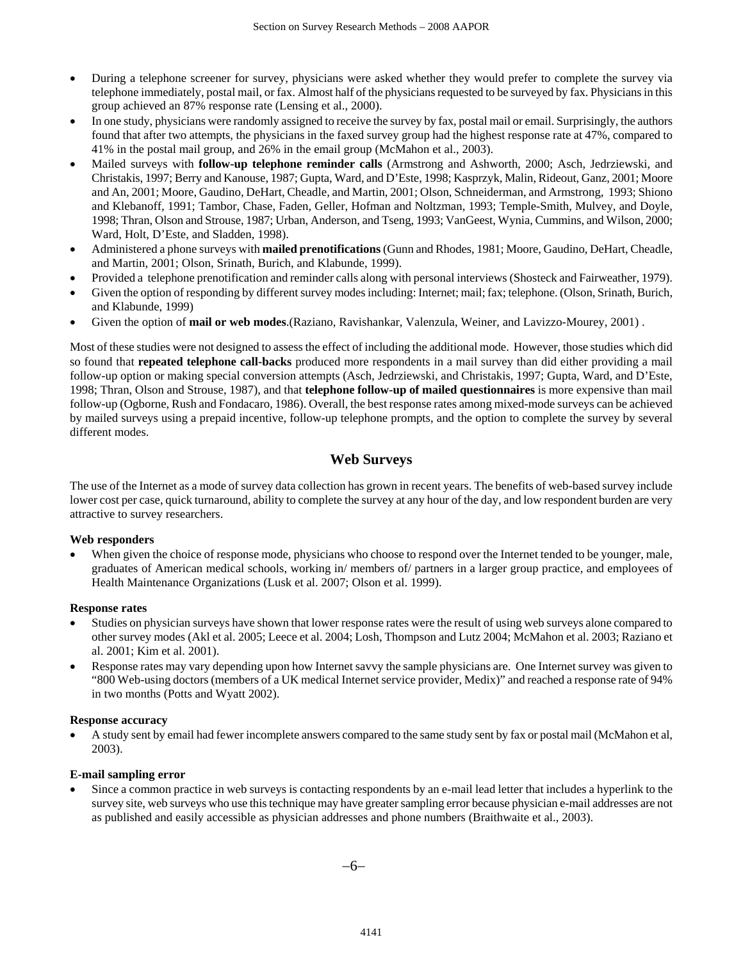- During a telephone screener for survey, physicians were asked whether they would prefer to complete the survey via telephone immediately, postal mail, or fax. Almost half of the physicians requested to be surveyed by fax. Physicians in this group achieved an 87% response rate (Lensing et al., 2000).
- In one study, physicians were randomly assigned to receive the survey by fax, postal mail or email. Surprisingly, the authors found that after two attempts, the physicians in the faxed survey group had the highest response rate at 47%, compared to 41% in the postal mail group, and 26% in the email group (McMahon et al., 2003).
- Mailed surveys with **follow-up telephone reminder calls** (Armstrong and Ashworth, 2000; Asch, Jedrziewski, and Christakis, 1997; Berry and Kanouse, 1987; Gupta, Ward, and D'Este, 1998; Kasprzyk, Malin, Rideout, Ganz, 2001; Moore and An, 2001; Moore, Gaudino, DeHart, Cheadle, and Martin, 2001; Olson, Schneiderman, and Armstrong, 1993; Shiono and Klebanoff, 1991; Tambor, Chase, Faden, Geller, Hofman and Noltzman, 1993; Temple-Smith, Mulvey, and Doyle, 1998; Thran, Olson and Strouse, 1987; Urban, Anderson, and Tseng, 1993; VanGeest, Wynia, Cummins, and Wilson, 2000; Ward, Holt, D'Este, and Sladden, 1998).
- Administered a phone surveys with **mailed prenotifications** (Gunn and Rhodes, 1981; Moore, Gaudino, DeHart, Cheadle, and Martin, 2001; Olson, Srinath, Burich, and Klabunde, 1999).
- Provided a telephone prenotification and reminder calls along with personal interviews (Shosteck and Fairweather, 1979).
- Given the option of responding by different survey modes including: Internet; mail; fax; telephone. (Olson, Srinath, Burich, and Klabunde, 1999)
- Given the option of **mail or web modes**.(Raziano, Ravishankar, Valenzula, Weiner, and Lavizzo-Mourey, 2001) .

Most of these studies were not designed to assess the effect of including the additional mode. However, those studies which did so found that **repeated telephone call-backs** produced more respondents in a mail survey than did either providing a mail follow-up option or making special conversion attempts (Asch, Jedrziewski, and Christakis, 1997; Gupta, Ward, and D'Este, 1998; Thran, Olson and Strouse, 1987), and that **telephone follow-up of mailed questionnaires** is more expensive than mail follow-up (Ogborne, Rush and Fondacaro, 1986). Overall, the best response rates among mixed-mode surveys can be achieved by mailed surveys using a prepaid incentive, follow-up telephone prompts, and the option to complete the survey by several different modes.

# **Web Surveys**

The use of the Internet as a mode of survey data collection has grown in recent years. The benefits of web-based survey include lower cost per case, quick turnaround, ability to complete the survey at any hour of the day, and low respondent burden are very attractive to survey researchers.

### **Web responders**

When given the choice of response mode, physicians who choose to respond over the Internet tended to be younger, male, graduates of American medical schools, working in/ members of/ partners in a larger group practice, and employees of Health Maintenance Organizations (Lusk et al. 2007; Olson et al. 1999).

#### **Response rates**

- Studies on physician surveys have shown that lower response rates were the result of using web surveys alone compared to other survey modes (Akl et al. 2005; Leece et al. 2004; Losh, Thompson and Lutz 2004; McMahon et al. 2003; Raziano et al. 2001; Kim et al. 2001).
- Response rates may vary depending upon how Internet savvy the sample physicians are. One Internet survey was given to "800 Web-using doctors (members of a UK medical Internet service provider, Medix)" and reached a response rate of 94% in two months (Potts and Wyatt 2002).

#### **Response accuracy**

• A study sent by email had fewer incomplete answers compared to the same study sent by fax or postal mail (McMahon et al, 2003).

#### **E-mail sampling error**

• Since a common practice in web surveys is contacting respondents by an e-mail lead letter that includes a hyperlink to the survey site, web surveys who use this technique may have greater sampling error because physician e-mail addresses are not as published and easily accessible as physician addresses and phone numbers (Braithwaite et al., 2003).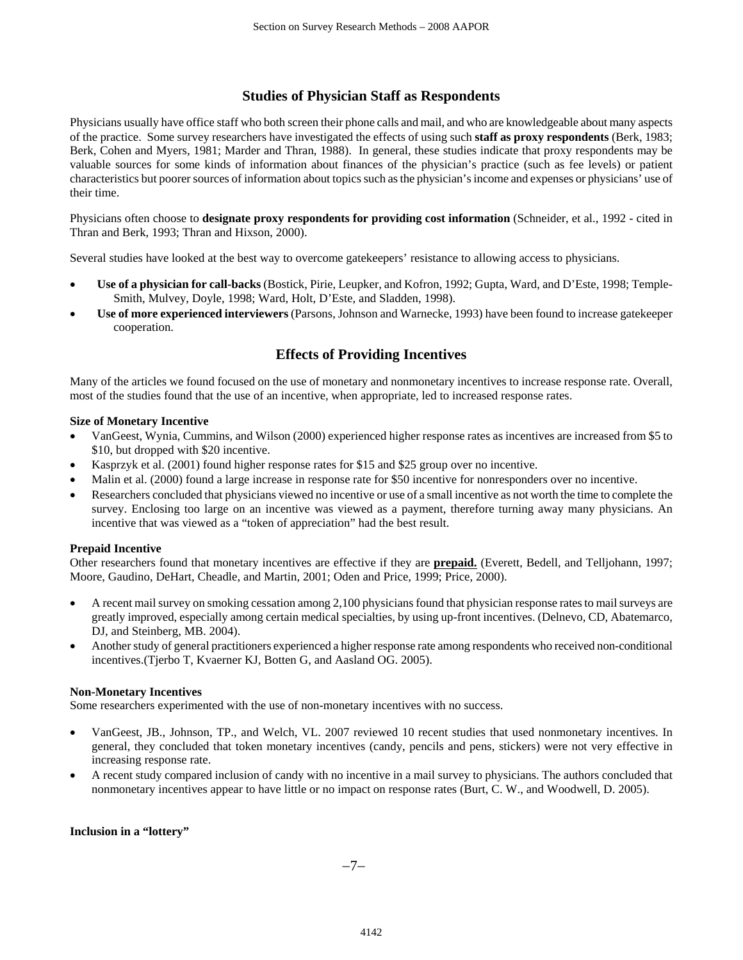# **Studies of Physician Staff as Respondents**

Physicians usually have office staff who both screen their phone calls and mail, and who are knowledgeable about many aspects of the practice. Some survey researchers have investigated the effects of using such **staff as proxy respondents** (Berk, 1983; Berk, Cohen and Myers, 1981; Marder and Thran, 1988). In general, these studies indicate that proxy respondents may be valuable sources for some kinds of information about finances of the physician's practice (such as fee levels) or patient characteristics but poorer sources of information about topics such as the physician's income and expenses or physicians' use of their time.

Physicians often choose to **designate proxy respondents for providing cost information** (Schneider, et al., 1992 - cited in Thran and Berk, 1993; Thran and Hixson, 2000).

Several studies have looked at the best way to overcome gatekeepers' resistance to allowing access to physicians.

- **Use of a physician for call-backs** (Bostick, Pirie, Leupker, and Kofron, 1992; Gupta, Ward, and D'Este, 1998; Temple-Smith, Mulvey, Doyle, 1998; Ward, Holt, D'Este, and Sladden, 1998).
- **Use of more experienced interviewers** (Parsons, Johnson and Warnecke, 1993) have been found to increase gatekeeper cooperation.

# **Effects of Providing Incentives**

Many of the articles we found focused on the use of monetary and nonmonetary incentives to increase response rate. Overall, most of the studies found that the use of an incentive, when appropriate, led to increased response rates.

#### **Size of Monetary Incentive**

- VanGeest, Wynia, Cummins, and Wilson (2000) experienced higher response rates as incentives are increased from \$5 to \$10, but dropped with \$20 incentive.
- Kasprzyk et al. (2001) found higher response rates for \$15 and \$25 group over no incentive.
- Malin et al. (2000) found a large increase in response rate for \$50 incentive for nonresponders over no incentive.
- Researchers concluded that physicians viewed no incentive or use of a small incentive as not worth the time to complete the survey. Enclosing too large on an incentive was viewed as a payment, therefore turning away many physicians. An incentive that was viewed as a "token of appreciation" had the best result.

### **Prepaid Incentive**

Other researchers found that monetary incentives are effective if they are **prepaid.** (Everett, Bedell, and Telljohann, 1997; Moore, Gaudino, DeHart, Cheadle, and Martin, 2001; Oden and Price, 1999; Price, 2000).

- A recent mail survey on smoking cessation among 2,100 physicians found that physician response rates to mail surveys are greatly improved, especially among certain medical specialties, by using up-front incentives. (Delnevo, CD, Abatemarco, DJ, and Steinberg, MB. 2004).
- Another study of general practitioners experienced a higher response rate among respondents who received non-conditional incentives.(Tjerbo T, Kvaerner KJ, Botten G, and Aasland OG. 2005).

### **Non-Monetary Incentives**

Some researchers experimented with the use of non-monetary incentives with no success.

- VanGeest, JB., Johnson, TP., and Welch, VL. 2007 reviewed 10 recent studies that used nonmonetary incentives. In general, they concluded that token monetary incentives (candy, pencils and pens, stickers) were not very effective in increasing response rate.
- A recent study compared inclusion of candy with no incentive in a mail survey to physicians. The authors concluded that nonmonetary incentives appear to have little or no impact on response rates (Burt, C. W., and Woodwell, D. 2005).

#### **Inclusion in a "lottery"**

−7−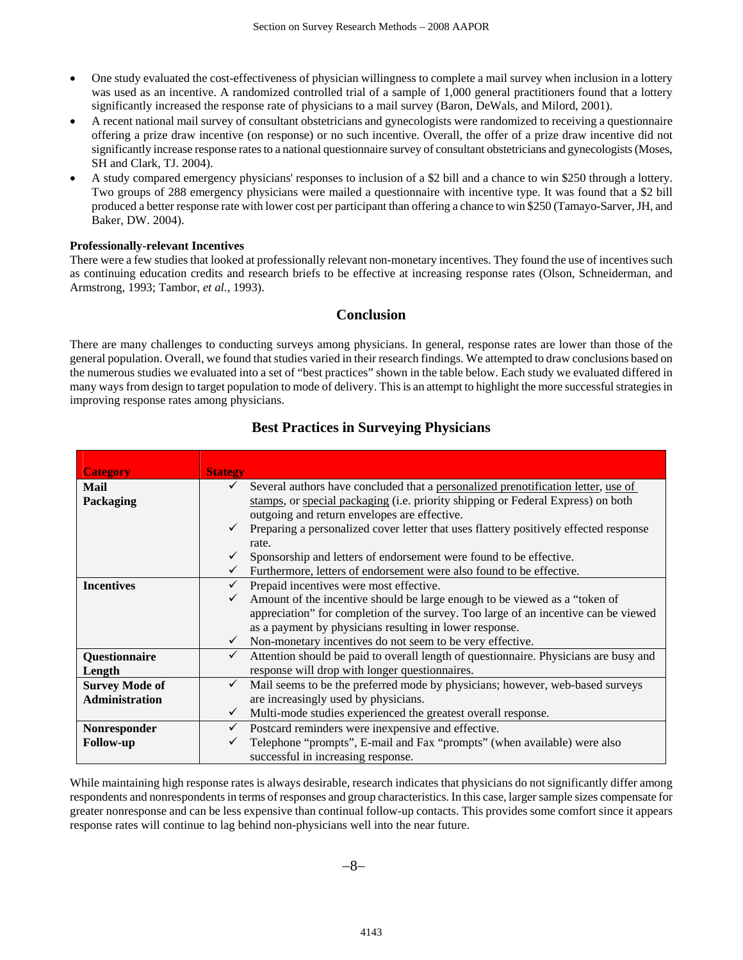- One study evaluated the cost-effectiveness of physician willingness to complete a mail survey when inclusion in a lottery was used as an incentive. A randomized controlled trial of a sample of 1,000 general practitioners found that a lottery significantly increased the response rate of physicians to a mail survey (Baron, DeWals, and Milord, 2001).
- A recent national mail survey of consultant obstetricians and gynecologists were randomized to receiving a questionnaire offering a prize draw incentive (on response) or no such incentive. Overall, the offer of a prize draw incentive did not significantly increase response rates to a national questionnaire survey of consultant obstetricians and gynecologists (Moses, SH and Clark, TJ. 2004).
- A study compared emergency physicians' responses to inclusion of a \$2 bill and a chance to win \$250 through a lottery. Two groups of 288 emergency physicians were mailed a questionnaire with incentive type. It was found that a \$2 bill produced a better response rate with lower cost per participant than offering a chance to win \$250 (Tamayo-Sarver, JH, and Baker, DW. 2004).

### **Professionally-relevant Incentives**

There were a few studies that looked at professionally relevant non-monetary incentives. They found the use of incentives such as continuing education credits and research briefs to be effective at increasing response rates (Olson, Schneiderman, and Armstrong, 1993; Tambor, *et al.,* 1993).

# **Conclusion**

There are many challenges to conducting surveys among physicians. In general, response rates are lower than those of the general population. Overall, we found that studies varied in their research findings. We attempted to draw conclusions based on the numerous studies we evaluated into a set of "best practices" shown in the table below. Each study we evaluated differed in many ways from design to target population to mode of delivery. This is an attempt to highlight the more successful strategies in improving response rates among physicians.

| <b>Category</b>       | <b>Stategy</b>                                                                                       |
|-----------------------|------------------------------------------------------------------------------------------------------|
| Mail                  | Several authors have concluded that a personalized prenotification letter, use of<br>$\checkmark$    |
| Packaging             | stamps, or special packaging (i.e. priority shipping or Federal Express) on both                     |
|                       | outgoing and return envelopes are effective.                                                         |
|                       | Preparing a personalized cover letter that uses flattery positively effected response                |
|                       | rate.                                                                                                |
|                       | Sponsorship and letters of endorsement were found to be effective.                                   |
|                       | Furthermore, letters of endorsement were also found to be effective.                                 |
| <b>Incentives</b>     | Prepaid incentives were most effective.<br>$\checkmark$                                              |
|                       | Amount of the incentive should be large enough to be viewed as a "token of<br>$\checkmark$           |
|                       | appreciation" for completion of the survey. Too large of an incentive can be viewed                  |
|                       | as a payment by physicians resulting in lower response.                                              |
|                       | Non-monetary incentives do not seem to be very effective.<br>$\checkmark$                            |
| Questionnaire         | Attention should be paid to overall length of questionnaire. Physicians are busy and<br>$\checkmark$ |
| Length                | response will drop with longer questionnaires.                                                       |
| <b>Survey Mode of</b> | Mail seems to be the preferred mode by physicians; however, web-based surveys<br>$\checkmark$        |
| Administration        | are increasingly used by physicians.                                                                 |
|                       | Multi-mode studies experienced the greatest overall response.<br>$\checkmark$                        |
| Nonresponder          | Postcard reminders were inexpensive and effective.<br>$\checkmark$                                   |
| <b>Follow-up</b>      | Telephone "prompts", E-mail and Fax "prompts" (when available) were also                             |
|                       | successful in increasing response.                                                                   |

# **Best Practices in Surveying Physicians**

While maintaining high response rates is always desirable, research indicates that physicians do not significantly differ among respondents and nonrespondents in terms of responses and group characteristics. In this case, larger sample sizes compensate for greater nonresponse and can be less expensive than continual follow-up contacts. This provides some comfort since it appears response rates will continue to lag behind non-physicians well into the near future.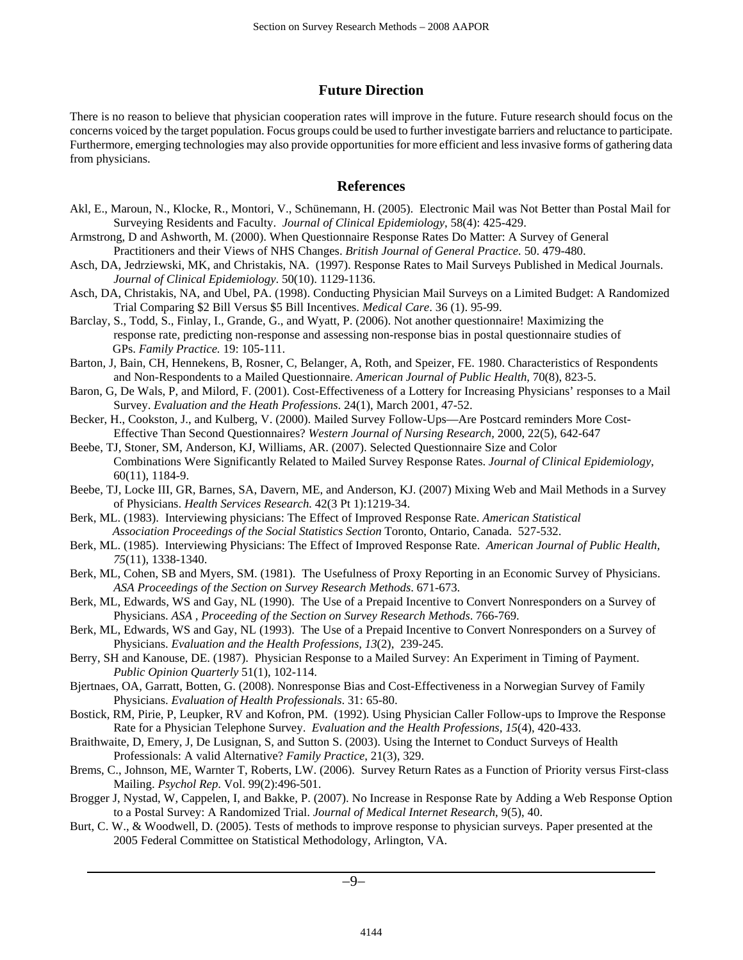# **Future Direction**

There is no reason to believe that physician cooperation rates will improve in the future. Future research should focus on the concerns voiced by the target population. Focus groups could be used to further investigate barriers and reluctance to participate. Furthermore, emerging technologies may also provide opportunities for more efficient and less invasive forms of gathering data from physicians.

# **References**

- Akl, E., Maroun, N., Klocke, R., Montori, V., Schünemann, H. (2005). Electronic Mail was Not Better than Postal Mail for Surveying Residents and Faculty. *Journal of Clinical Epidemiology*, 58(4): 425-429.
- Armstrong, D and Ashworth, M. (2000). When Questionnaire Response Rates Do Matter: A Survey of General Practitioners and their Views of NHS Changes. *British Journal of General Practice.* 50. 479-480.
- Asch, DA, Jedrziewski, MK, and Christakis, NA. (1997). Response Rates to Mail Surveys Published in Medical Journals. *Journal of Clinical Epidemiology*. 50(10). 1129-1136.
- Asch, DA, Christakis, NA, and Ubel, PA. (1998). Conducting Physician Mail Surveys on a Limited Budget: A Randomized Trial Comparing \$2 Bill Versus \$5 Bill Incentives. *Medical Care*. 36 (1). 95-99.
- Barclay, S., Todd, S., Finlay, I., Grande, G., and Wyatt, P. (2006). Not another questionnaire! Maximizing the response rate, predicting non-response and assessing non-response bias in postal questionnaire studies of GPs. *Family Practice.* 19: 105-111.
- Barton, J, Bain, CH, Hennekens, B, Rosner, C, Belanger, A, Roth, and Speizer, FE. 1980. Characteristics of Respondents and Non-Respondents to a Mailed Questionnaire. *American Journal of Public Health,* 70(8), 823-5.
- Baron, G, De Wals, P, and Milord, F. (2001). Cost-Effectiveness of a Lottery for Increasing Physicians' responses to a Mail Survey. *Evaluation and the Heath Professions*. 24(1), March 2001, 47-52.
- Becker, H., Cookston, J., and Kulberg, V. (2000). Mailed Survey Follow-Ups—Are Postcard reminders More Cost-Effective Than Second Questionnaires? *Western Journal of Nursing Research,* 2000, 22(5), 642-647
- Beebe, TJ, Stoner, SM, Anderson, KJ, Williams, AR. (2007). Selected Questionnaire Size and Color Combinations Were Significantly Related to Mailed Survey Response Rates. *Journal of Clinical Epidemiology*, 60(11), 1184-9.
- Beebe, TJ, Locke III, GR, Barnes, SA, Davern, ME, and Anderson, KJ. (2007) Mixing Web and Mail Methods in a Survey of Physicians. *Health Services Research.* 42(3 Pt 1):1219-34.
- Berk, ML. (1983). Interviewing physicians: The Effect of Improved Response Rate. *American Statistical Association Proceedings of the Social Statistics Section* Toronto, Ontario, Canada. 527-532.
- Berk, ML. (1985). Interviewing Physicians: The Effect of Improved Response Rate. *American Journal of Public Health, 75*(11), 1338-1340.
- Berk, ML, Cohen, SB and Myers, SM. (1981). The Usefulness of Proxy Reporting in an Economic Survey of Physicians. *ASA Proceedings of the Section on Survey Research Methods*. 671-673.
- Berk, ML, Edwards, WS and Gay, NL (1990). The Use of a Prepaid Incentive to Convert Nonresponders on a Survey of Physicians. *ASA , Proceeding of the Section on Survey Research Methods*. 766-769.
- Berk, ML, Edwards, WS and Gay, NL (1993). The Use of a Prepaid Incentive to Convert Nonresponders on a Survey of Physicians. *Evaluation and the Health Professions, 13*(2), 239-245.

Berry, SH and Kanouse, DE. (1987). Physician Response to a Mailed Survey: An Experiment in Timing of Payment. *Public Opinion Quarterly* 51(1), 102-114.

Bjertnaes, OA, Garratt, Botten, G. (2008). Nonresponse Bias and Cost-Effectiveness in a Norwegian Survey of Family Physicians. *Evaluation of Health Professionals*. 31: 65-80.

- Bostick, RM, Pirie, P, Leupker, RV and Kofron, PM. (1992). Using Physician Caller Follow-ups to Improve the Response Rate for a Physician Telephone Survey. *Evaluation and the Health Professions, 15*(4), 420-433.
- Braithwaite, D, Emery, J, De Lusignan, S, and Sutton S. (2003). Using the Internet to Conduct Surveys of Health Professionals: A valid Alternative? *Family Practice*, 21(3), 329.
- Brems, C., Johnson, ME, Warnter T, Roberts, LW. (2006). Survey Return Rates as a Function of Priority versus First-class Mailing. *Psychol Rep*. Vol. 99(2):496-501.
- Brogger J, Nystad, W, Cappelen, I, and Bakke, P. (2007). No Increase in Response Rate by Adding a Web Response Option to a Postal Survey: A Randomized Trial. *Journal of Medical Internet Research*, 9(5), 40.
- Burt, C. W., & Woodwell, D. (2005). Tests of methods to improve response to physician surveys. Paper presented at the 2005 Federal Committee on Statistical Methodology, Arlington, VA.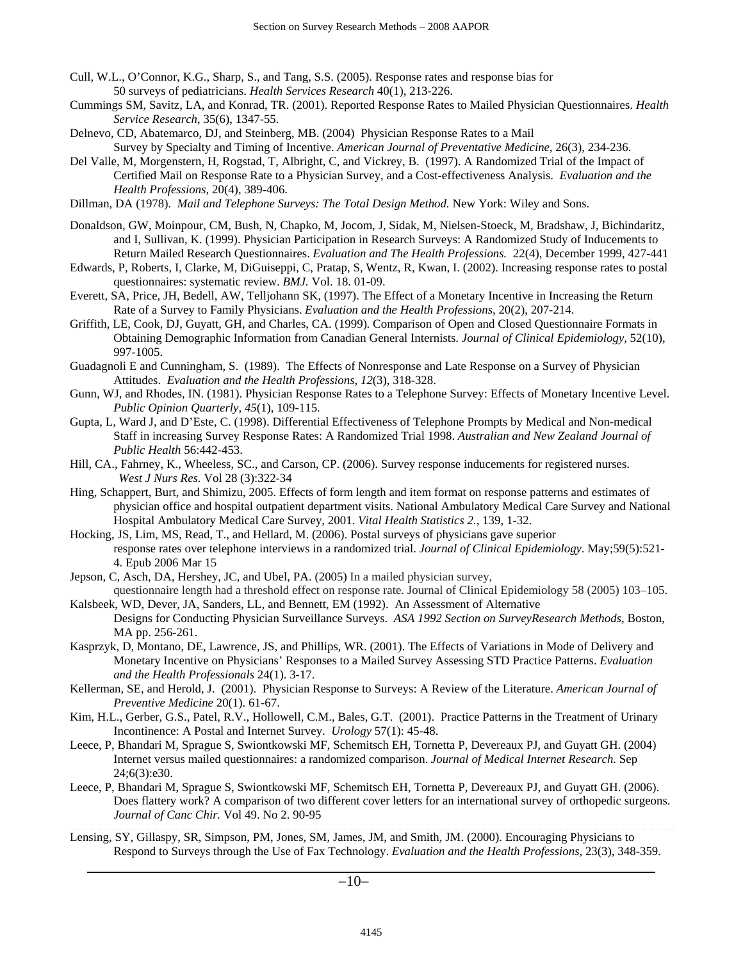- Cull, W.L., O'Connor, K.G., Sharp, S., and Tang, S.S. (2005). Response rates and response bias for 50 surveys of pediatricians. *Health Services Research* 40(1), 213-226.
- Cummings SM, Savitz, LA, and Konrad, TR. (2001). Reported Response Rates to Mailed Physician Questionnaires. *Health Service Research*, 35(6), 1347-55.
- Delnevo, CD, Abatemarco, DJ, and Steinberg, MB. (2004) Physician Response Rates to a Mail Survey by Specialty and Timing of Incentive. *American Journal of Preventative Medicine*, 26(3), 234-236.
- Del Valle, M, Morgenstern, H, Rogstad, T, Albright, C, and Vickrey, B. (1997). A Randomized Trial of the Impact of Certified Mail on Response Rate to a Physician Survey, and a Cost-effectiveness Analysis. *Evaluation and the Health Professions,* 20(4), 389-406.
- Dillman, DA (1978). *Mail and Telephone Surveys: The Total Design Method.* New York: Wiley and Sons.
- Donaldson, GW, Moinpour, CM, Bush, N, Chapko, M, Jocom, J, Sidak, M, Nielsen-Stoeck, M, Bradshaw, J, Bichindaritz, and I, Sullivan, K. (1999). Physician Participation in Research Surveys: A Randomized Study of Inducements to Return Mailed Research Questionnaires. *Evaluation and The Health Professions.* 22(4), December 1999, 427-441
- Edwards, P, Roberts, I, Clarke, M, DiGuiseppi, C, Pratap, S, Wentz, R, Kwan, I. (2002). Increasing response rates to postal questionnaires: systematic review. *BMJ.* Vol. 18. 01-09.
- Everett, SA, Price, JH, Bedell, AW, Telljohann SK, (1997). The Effect of a Monetary Incentive in Increasing the Return Rate of a Survey to Family Physicians. *Evaluation and the Health Professions,* 20(2), 207-214.
- Griffith, LE, Cook, DJ, Guyatt, GH, and Charles, CA. (1999). Comparison of Open and Closed Questionnaire Formats in Obtaining Demographic Information from Canadian General Internists. *Journal of Clinical Epidemiology,* 52(10), 997-1005.
- Guadagnoli E and Cunningham, S. (1989). The Effects of Nonresponse and Late Response on a Survey of Physician Attitudes. *Evaluation and the Health Professions, 12*(3), 318-328.
- Gunn, WJ, and Rhodes, IN. (1981). Physician Response Rates to a Telephone Survey: Effects of Monetary Incentive Level. *Public Opinion Quarterly, 45*(1), 109-115.
- Gupta, L, Ward J, and D'Este, C. (1998). Differential Effectiveness of Telephone Prompts by Medical and Non-medical Staff in increasing Survey Response Rates: A Randomized Trial 1998. *Australian and New Zealand Journal of Public Health* 56:442-453.
- Hill, CA., Fahrney, K., Wheeless, SC., and Carson, CP. (2006). Survey response inducements for registered nurses. *West J Nurs Res.* Vol 28 (3):322-34
- Hing, Schappert, Burt, and Shimizu, 2005. Effects of form length and item format on response patterns and estimates of physician office and hospital outpatient department visits. National Ambulatory Medical Care Survey and National Hospital Ambulatory Medical Care Survey, 2001. *Vital Health Statistics 2.,* 139, 1-32.
- Hocking, JS, Lim, MS, Read, T., and Hellard, M. (2006). Postal surveys of physicians gave superior response rates over telephone interviews in a randomized trial. *Journal of Clinical Epidemiology*. May;59(5):521- 4. Epub 2006 Mar 15
- Jepson, C, Asch, DA, Hershey, JC, and Ubel, PA. (2005) In a mailed physician survey, questionnaire length had a threshold effect on response rate. Journal of Clinical Epidemiology 58 (2005) 103–105.
- Kalsbeek, WD, Dever, JA, Sanders, LL, and Bennett, EM (1992). An Assessment of Alternative Designs for Conducting Physician Surveillance Surveys. *ASA 1992 Section on SurveyResearch Methods*, Boston, MA pp. 256-261.
- Kasprzyk, D, Montano, DE, Lawrence, JS, and Phillips, WR. (2001). The Effects of Variations in Mode of Delivery and Monetary Incentive on Physicians' Responses to a Mailed Survey Assessing STD Practice Patterns. *Evaluation and the Health Professionals* 24(1). 3-17.
- Kellerman, SE, and Herold, J. (2001). Physician Response to Surveys: A Review of the Literature. *American Journal of Preventive Medicine* 20(1). 61-67.
- Kim, H.L., Gerber, G.S., Patel, R.V., Hollowell, C.M., Bales, G.T. (2001). Practice Patterns in the Treatment of Urinary Incontinence: A Postal and Internet Survey. *Urology* 57(1): 45-48.
- Leece, P, Bhandari M, Sprague S, Swiontkowski MF, Schemitsch EH, Tornetta P, Devereaux PJ, and Guyatt GH. (2004) Internet versus mailed questionnaires: a randomized comparison. *Journal of Medical Internet Research.* Sep 24;6(3):e30.
- Leece, P, Bhandari M, Sprague S, Swiontkowski MF, Schemitsch EH, Tornetta P, Devereaux PJ, and Guyatt GH. (2006). Does flattery work? A comparison of two different cover letters for an international survey of orthopedic surgeons. *Journal of Canc Chir.* Vol 49. No 2. 90-95
- Lensing, SY, Gillaspy, SR, Simpson, PM, Jones, SM, James, JM, and Smith, JM. (2000). Encouraging Physicians to Respond to Surveys through the Use of Fax Technology. *Evaluation and the Health Professions*, 23(3), 348-359.

−10−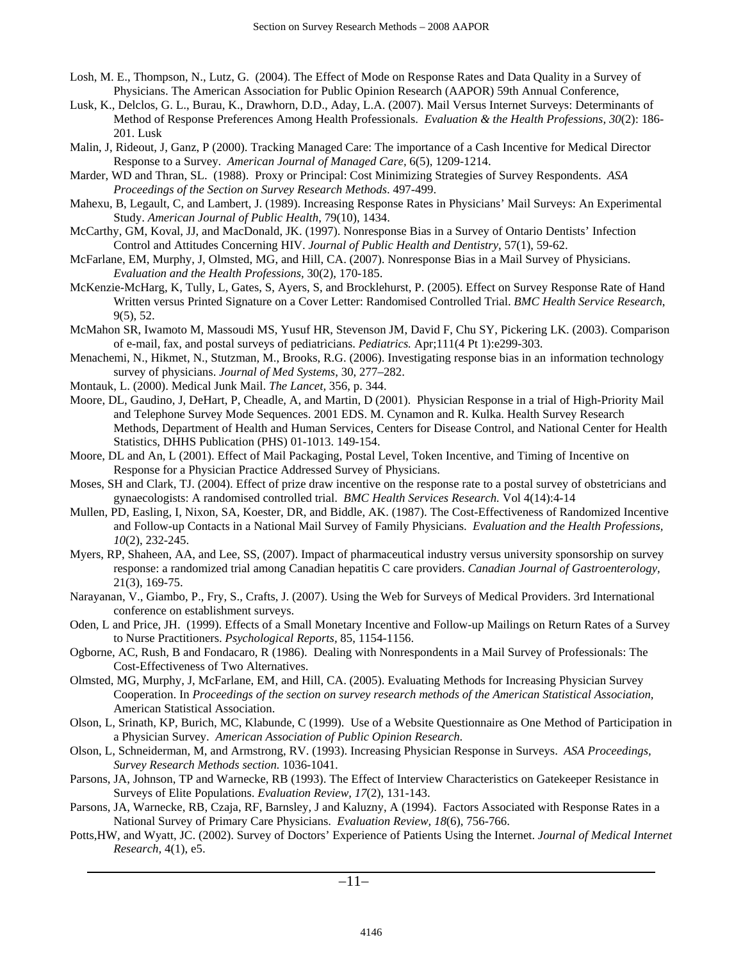- Losh, M. E., Thompson, N., Lutz, G. (2004). The Effect of Mode on Response Rates and Data Quality in a Survey of Physicians. The American Association for Public Opinion Research (AAPOR) 59th Annual Conference,
- Lusk, K., Delclos, G. L., Burau, K., Drawhorn, D.D., Aday, L.A. (2007). Mail Versus Internet Surveys: Determinants of Method of Response Preferences Among Health Professionals. *Evaluation & the Health Professions, 30*(2): 186- 201. Lusk
- Malin, J, Rideout, J, Ganz, P (2000). Tracking Managed Care: The importance of a Cash Incentive for Medical Director Response to a Survey. *American Journal of Managed Care,* 6(5), 1209-1214.
- Marder, WD and Thran, SL. (1988). Proxy or Principal: Cost Minimizing Strategies of Survey Respondents. *ASA Proceedings of the Section on Survey Research Methods*. 497-499.
- Mahexu, B, Legault, C, and Lambert, J. (1989). Increasing Response Rates in Physicians' Mail Surveys: An Experimental Study. *American Journal of Public Health*, 79(10), 1434.
- McCarthy, GM, Koval, JJ, and MacDonald, JK. (1997). Nonresponse Bias in a Survey of Ontario Dentists' Infection Control and Attitudes Concerning HIV. *Journal of Public Health and Dentistry*, 57(1), 59-62.
- McFarlane, EM, Murphy, J, Olmsted, MG, and Hill, CA. (2007). Nonresponse Bias in a Mail Survey of Physicians. *Evaluation and the Health Professions,* 30(2), 170-185.
- McKenzie-McHarg, K, Tully, L, Gates, S, Ayers, S, and Brocklehurst, P. (2005). Effect on Survey Response Rate of Hand Written versus Printed Signature on a Cover Letter: Randomised Controlled Trial. *BMC Health Service Research*, 9(5), 52.
- McMahon SR, Iwamoto M, Massoudi MS, Yusuf HR, Stevenson JM, David F, Chu SY, Pickering LK. (2003). Comparison of e-mail, fax, and postal surveys of pediatricians. *Pediatrics.* Apr;111(4 Pt 1):e299-303.
- Menachemi, N., Hikmet, N., Stutzman, M., Brooks, R.G. (2006). Investigating response bias in an information technology survey of physicians. *Journal of Med Systems*, 30, 277–282.
- Montauk, L. (2000). Medical Junk Mail. *The Lancet,* 356, p. 344.
- Moore, DL, Gaudino, J, DeHart, P, Cheadle, A, and Martin, D (2001). Physician Response in a trial of High-Priority Mail and Telephone Survey Mode Sequences. 2001 EDS. M. Cynamon and R. Kulka. Health Survey Research Methods, Department of Health and Human Services, Centers for Disease Control, and National Center for Health Statistics, DHHS Publication (PHS) 01-1013. 149-154.
- Moore, DL and An, L (2001). Effect of Mail Packaging, Postal Level, Token Incentive, and Timing of Incentive on Response for a Physician Practice Addressed Survey of Physicians.
- Moses, SH and Clark, TJ. (2004). Effect of prize draw incentive on the response rate to a postal survey of obstetricians and gynaecologists: A randomised controlled trial. *BMC Health Services Research.* Vol 4(14):4-14
- Mullen, PD, Easling, I, Nixon, SA, Koester, DR, and Biddle, AK. (1987). The Cost-Effectiveness of Randomized Incentive and Follow-up Contacts in a National Mail Survey of Family Physicians. *Evaluation and the Health Professions, 10*(2), 232-245.
- Myers, RP, Shaheen, AA, and Lee, SS, (2007). Impact of pharmaceutical industry versus university sponsorship on survey response: a randomized trial among Canadian hepatitis C care providers. *Canadian Journal of Gastroenterology,*  21(3), 169-75.
- Narayanan, V., Giambo, P., Fry, S., Crafts, J. (2007). Using the Web for Surveys of Medical Providers. 3rd International conference on establishment surveys.
- Oden, L and Price, JH. (1999). Effects of a Small Monetary Incentive and Follow-up Mailings on Return Rates of a Survey to Nurse Practitioners. *Psychological Reports,* 85, 1154-1156.
- Ogborne, AC, Rush, B and Fondacaro, R (1986). Dealing with Nonrespondents in a Mail Survey of Professionals: The Cost-Effectiveness of Two Alternatives.
- Olmsted, MG, Murphy, J, McFarlane, EM, and Hill, CA. (2005). Evaluating Methods for Increasing Physician Survey Cooperation. In *Proceedings of the section on survey research methods of the American Statistical Association,*  American Statistical Association.
- Olson, L, Srinath, KP, Burich, MC, Klabunde, C (1999). Use of a Website Questionnaire as One Method of Participation in a Physician Survey. *American Association of Public Opinion Research*.
- Olson, L, Schneiderman, M, and Armstrong, RV. (1993). Increasing Physician Response in Surveys. *ASA Proceedings, Survey Research Methods section.* 1036-1041.
- Parsons, JA, Johnson, TP and Warnecke, RB (1993). The Effect of Interview Characteristics on Gatekeeper Resistance in Surveys of Elite Populations. *Evaluation Review, 17*(2), 131-143.
- Parsons, JA, Warnecke, RB, Czaja, RF, Barnsley, J and Kaluzny, A (1994). Factors Associated with Response Rates in a National Survey of Primary Care Physicians. *Evaluation Review, 18*(6), 756-766.
- Potts,HW, and Wyatt, JC. (2002). Survey of Doctors' Experience of Patients Using the Internet. *Journal of Medical Internet Research,* 4(1), e5.

−11−